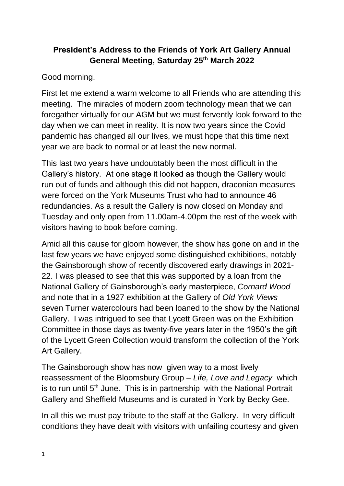## **President's Address to the Friends of York Art Gallery Annual General Meeting, Saturday 25th March 2022**

Good morning.

First let me extend a warm welcome to all Friends who are attending this meeting. The miracles of modern zoom technology mean that we can foregather virtually for our AGM but we must fervently look forward to the day when we can meet in reality. It is now two years since the Covid pandemic has changed all our lives, we must hope that this time next year we are back to normal or at least the new normal.

This last two years have undoubtably been the most difficult in the Gallery's history. At one stage it looked as though the Gallery would run out of funds and although this did not happen, draconian measures were forced on the York Museums Trust who had to announce 46 redundancies. As a result the Gallery is now closed on Monday and Tuesday and only open from 11.00am-4.00pm the rest of the week with visitors having to book before coming.

Amid all this cause for gloom however, the show has gone on and in the last few years we have enjoyed some distinguished exhibitions, notably the Gainsborough show of recently discovered early drawings in 2021- 22. I was pleased to see that this was supported by a loan from the National Gallery of Gainsborough's early masterpiece, *Cornard Wood* and note that in a 1927 exhibition at the Gallery of *Old York Views*  seven Turner watercolours had been loaned to the show by the National Gallery. I was intrigued to see that Lycett Green was on the Exhibition Committee in those days as twenty-five years later in the 1950's the gift of the Lycett Green Collection would transform the collection of the York Art Gallery.

The Gainsborough show has now given way to a most lively reassessment of the Bloomsbury Group – *Life, Love and Legacy* which is to run until  $5<sup>th</sup>$  June. This is in partnership with the National Portrait Gallery and Sheffield Museums and is curated in York by Becky Gee.

In all this we must pay tribute to the staff at the Gallery. In very difficult conditions they have dealt with visitors with unfailing courtesy and given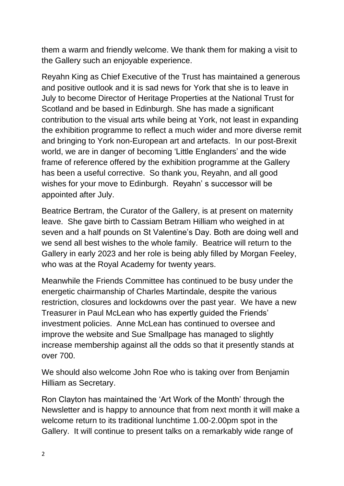them a warm and friendly welcome. We thank them for making a visit to the Gallery such an enjoyable experience.

Reyahn King as Chief Executive of the Trust has maintained a generous and positive outlook and it is sad news for York that she is to leave in July to become Director of Heritage Properties at the National Trust for Scotland and be based in Edinburgh. She has made a significant contribution to the visual arts while being at York, not least in expanding the exhibition programme to reflect a much wider and more diverse remit and bringing to York non-European art and artefacts. In our post-Brexit world, we are in danger of becoming 'Little Englanders' and the wide frame of reference offered by the exhibition programme at the Gallery has been a useful corrective. So thank you, Reyahn, and all good wishes for your move to Edinburgh. Reyahn' s successor will be appointed after July.

Beatrice Bertram, the Curator of the Gallery, is at present on maternity leave. She gave birth to Cassiam Betram Hilliam who weighed in at seven and a half pounds on St Valentine's Day. Both are doing well and we send all best wishes to the whole family. Beatrice will return to the Gallery in early 2023 and her role is being ably filled by Morgan Feeley, who was at the Royal Academy for twenty years.

Meanwhile the Friends Committee has continued to be busy under the energetic chairmanship of Charles Martindale, despite the various restriction, closures and lockdowns over the past year. We have a new Treasurer in Paul McLean who has expertly guided the Friends' investment policies. Anne McLean has continued to oversee and improve the website and Sue Smallpage has managed to slightly increase membership against all the odds so that it presently stands at over 700.

We should also welcome John Roe who is taking over from Benjamin Hilliam as Secretary.

Ron Clayton has maintained the 'Art Work of the Month' through the Newsletter and is happy to announce that from next month it will make a welcome return to its traditional lunchtime 1.00-2.00pm spot in the Gallery. It will continue to present talks on a remarkably wide range of